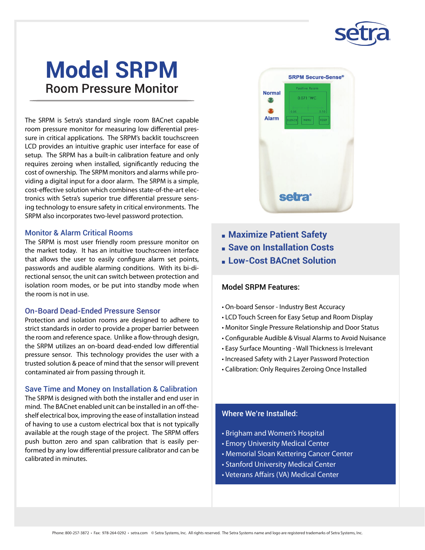

# **Model SRPM** Room Pressure Monitor

The SRPM is Setra's standard single room BACnet capable room pressure monitor for measuring low differential pressure in critical applications. The SRPM's backlit touchscreen LCD provides an intuitive graphic user interface for ease of setup. The SRPM has a built-in calibration feature and only requires zeroing when installed, significantly reducing the cost of ownership. The SRPM monitors and alarms while providing a digital input for a door alarm. The SRPM is a simple, cost-effective solution which combines state-of-the-art electronics with Setra's superior true differential pressure sensing technology to ensure safety in critical environments. The SRPM also incorporates two-level password protection.

#### Monitor & Alarm Critical Rooms

The SRPM is most user friendly room pressure monitor on the market today. It has an intuitive touchscreen interface that allows the user to easily configure alarm set points, passwords and audible alarming conditions. With its bi-directional sensor, the unit can switch between protection and isolation room modes, or be put into standby mode when the room is not in use.

#### On-Board Dead-Ended Pressure Sensor

Protection and isolation rooms are designed to adhere to strict standards in order to provide a proper barrier between the room and reference space. Unlike a flow-through design, the SRPM utilizes an on-board dead-ended low differential pressure sensor. This technology provides the user with a trusted solution & peace of mind that the sensor will prevent contaminated air from passing through it.

#### Save Time and Money on Installation & Calibration

The SRPM is designed with both the installer and end user in mind. The BACnet enabled unit can be installed in an off-theshelf electrical box, improving the ease of installation instead of having to use a custom electrical box that is not typically available at the rough stage of the project. The SRPM offers push button zero and span calibration that is easily performed by any low differential pressure calibrator and can be calibrated in minutes.



- **nMaximize Patient Safety**
- **n** Save on Installation Costs
- <sup>n</sup>**Low-Cost BACnet Solution**

#### Model SRPM Features:

- On-board Sensor Industry Best Accuracy
- LCD Touch Screen for Easy Setup and Room Display
- Monitor Single Pressure Relationship and Door Status
- Configurable Audible & Visual Alarms to Avoid Nuisance
- Easy Surface Mounting Wall Thickness is Irrelevant
- Increased Safety with 2 Layer Password Protection
- Calibration: Only Requires Zeroing Once Installed

#### Where We're Installed:

- Brigham and Women's Hospital
- Emory University Medical Center
- Memorial Sloan Kettering Cancer Center
- Stanford University Medical Center
- Veterans Affairs (VA) Medical Center